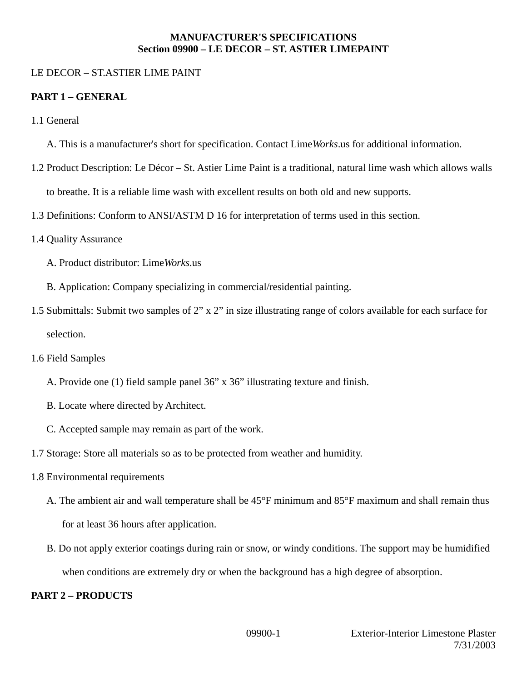#### **MANUFACTURER'S SPECIFICATIONS Section 09900 – LE DECOR – ST. ASTIER LIMEPAINT**

### LE DECOR – ST.ASTIER LIME PAINT

### **PART 1 – GENERAL**

- 1.1 General
	- A. This is a manufacturer's short for specification. Contact Lime*Works*.us for additional information.
- 1.2 Product Description: Le Décor St. Astier Lime Paint is a traditional, natural lime wash which allows walls to breathe. It is a reliable lime wash with excellent results on both old and new supports.
- 1.3 Definitions: Conform to ANSI/ASTM D 16 for interpretation of terms used in this section.
- 1.4 Quality Assurance
	- A. Product distributor: Lime*Works*.us
	- B. Application: Company specializing in commercial/residential painting.
- 1.5 Submittals: Submit two samples of 2" x 2" in size illustrating range of colors available for each surface for selection.
- 1.6 Field Samples
	- A. Provide one (1) field sample panel 36" x 36" illustrating texture and finish.
	- B. Locate where directed by Architect.
	- C. Accepted sample may remain as part of the work.
- 1.7 Storage: Store all materials so as to be protected from weather and humidity.
- 1.8 Environmental requirements
	- A. The ambient air and wall temperature shall be 45°F minimum and 85°F maximum and shall remain thus for at least 36 hours after application.
	- B. Do not apply exterior coatings during rain or snow, or windy conditions. The support may be humidified when conditions are extremely dry or when the background has a high degree of absorption.

## **PART 2 – PRODUCTS**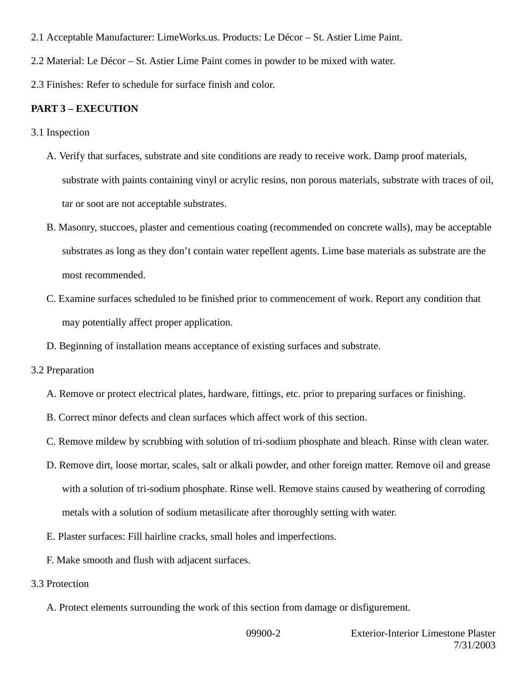- 2.1 Acceptable Manufacturer: LimeWorks.us. Products: Le Décor St. Astier Lime Paint.
- 2.2 Material: Le Décor St. Astier Lime Paint comes in powder to be mixed with water.
- 2.3 Finishes: Refer to schedule for surface finish and color.

#### **PART 3 – EXECUTION**

- 3.1 Inspection
	- A. Verify that surfaces, substrate and site conditions are ready to receive work. Damp proof materials, substrate with paints containing vinyl or acrylic resins, non porous materials, substrate with traces of oil, tar or soot are not acceptable substrates.
	- B. Masonry, stuccoes, plaster and cementious coating (recommended on concrete walls), may be acceptable substrates as long as they don't contain water repellent agents. Lime base materials as substrate are the most recommended.
	- C. Examine surfaces scheduled to be finished prior to commencement of work. Report any condition that may potentially affect proper application.
	- D. Beginning of installation means acceptance of existing surfaces and substrate.
- 3.2 Preparation
	- A. Remove or protect electrical plates, hardware, fittings, etc. prior to preparing surfaces or finishing.
	- B. Correct minor defects and clean surfaces which affect work of this section.
	- C. Remove mildew by scrubbing with solution of tri-sodium phosphate and bleach. Rinse with clean water.
	- D. Remove dirt, loose mortar, scales, salt or alkali powder, and other foreign matter. Remove oil and grease with a solution of tri-sodium phosphate. Rinse well. Remove stains caused by weathering of corroding metals with a solution of sodium metasilicate after thoroughly setting with water.
	- E. Plaster surfaces: Fill hairline cracks, small holes and imperfections.
	- F. Make smooth and flush with adjacent surfaces.
- 3.3 Protection
	- A. Protect elements surrounding the work of this section from damage or disfigurement.